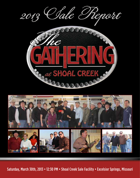



Saturday, March 30th, 2013 • 12:30 PM • Shoal Creek Sale Facility • Excelsior Springs, Missouri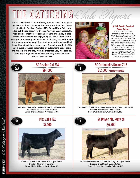# THE GATHERING Clare Prenant

The 2013 Edition of " The Gathering at Shoal Creek" took place on March 30th at 12:30pm at the Shoal Creek Land and Cattle sale facility in Excelsior Springs, MO. Ed and Kathi Rule truly rolled out the red carpet for this year's event. As expected, the food and hospitality were second-to-none and Friday night's music entertainment was enjoyed by all. Shoal Creek Cattle Manager JR Richburg and herdsman Scott Akey battled through the adverse weather conditions leading up to the sale and had the cattle and facility in prime shape. They, along with all of the sale's guest breeders, assembled an outstanding set of cattle and genetic lots and they were all presented very well sale day.

There was a huge crowd on hand and they made this year's event a great success.



#### AJSA South Central Fund Raiser

*This basket full of fine chocolate was donated by Mark & Jame Krieger with all proceeds going to the AJSA South Central Regional. Craig McCallum of Circle M Farms, TX purchased the basket for \$550 and donated it back with the second purchase by Ed Rule of Shoal Creek for \$ 450. Picture here is Ed & Kathi's granddaughter.*





SVF Steel Force S701 x SAFN Glamour 11J – Open Heifer Breeder: Shoal Creek Land & Cattle Buyer: Theresa Claeys, Winnebago, MN



SC Cottontail's Dream Z116 \$12,000 1/2 Embryo Interest



CNS Pays To Dream T759 x KenCo Miley Cottontail – Open Heifer Breeder: Shoal Creek Land & Cattle Buyer: Weldon Brady, Warrensburg, MO

**SC Driven Ms. Ruby Z8** 



22A

Miss Zella 192<br>
57.400



Dikemans Sure Bet x Natasha 10N – Open Heifer Breeder: Dikeman Simmentals Buyer: Circle H Simmental, Hudson, SD





HC Power Drive 88H x SC Show Me Ruby T8 – Open Heifer Breeder: Shoal Creek Land & Cattle Buyer: Gonsior Simmentals, Fullerton, NE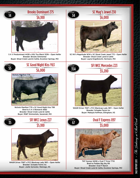